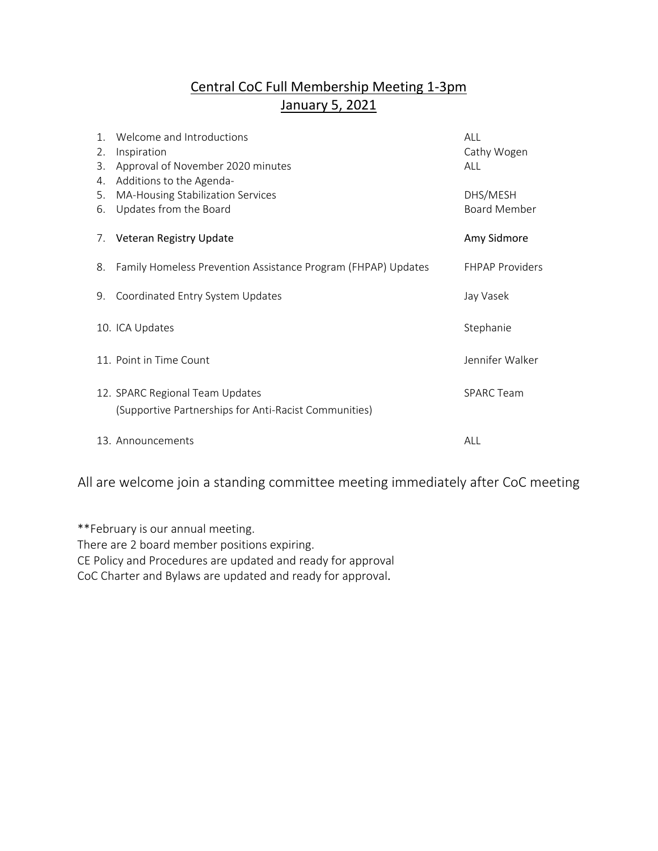## Central CoC Full Membership Meeting 1-3pm January 5, 2021

| $\mathbf{1}$ .<br>2.<br>3.<br>4. | Welcome and Introductions<br>Inspiration<br>Approval of November 2020 minutes<br>Additions to the Agenda- | ALL<br>Cathy Wogen<br>AI I      |
|----------------------------------|-----------------------------------------------------------------------------------------------------------|---------------------------------|
| 5.<br>6.                         | MA-Housing Stabilization Services<br>Updates from the Board                                               | DHS/MESH<br><b>Board Member</b> |
| 7.                               | Veteran Registry Update                                                                                   | Amy Sidmore                     |
| 8.                               | Family Homeless Prevention Assistance Program (FHPAP) Updates                                             | <b>FHPAP Providers</b>          |
| 9.                               | Coordinated Entry System Updates                                                                          | Jay Vasek                       |
|                                  | 10. ICA Updates                                                                                           | Stephanie                       |
|                                  | 11. Point in Time Count                                                                                   | Jennifer Walker                 |
|                                  | 12. SPARC Regional Team Updates<br>(Supportive Partnerships for Anti-Racist Communities)                  | <b>SPARC Team</b>               |
|                                  | 13. Announcements                                                                                         | ALL                             |

All are welcome join a standing committee meeting immediately after CoC meeting

\*\*February is our annual meeting. There are 2 board member positions expiring. CE Policy and Procedures are updated and ready for approval CoC Charter and Bylaws are updated and ready for approval.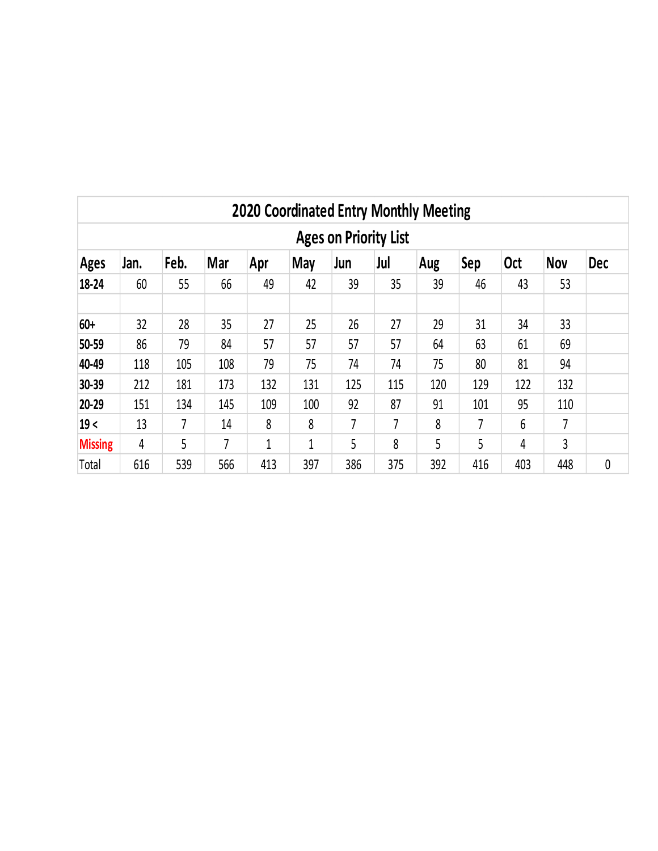|                                                                                                                                      | <b>2020 Coordinated Entry Monthly Meeting</b> |     |     |     |              |     |                |     |     |     |     |   |  |
|--------------------------------------------------------------------------------------------------------------------------------------|-----------------------------------------------|-----|-----|-----|--------------|-----|----------------|-----|-----|-----|-----|---|--|
| <b>Ages on Priority List</b>                                                                                                         |                                               |     |     |     |              |     |                |     |     |     |     |   |  |
| Feb.<br><b>Mar</b><br><b>May</b><br>Jul<br>Sep<br><b>Oct</b><br><b>Nov</b><br><b>Dec</b><br>Jan.<br>Apr<br>Jun<br>Aug<br><b>Ages</b> |                                               |     |     |     |              |     |                |     |     |     |     |   |  |
| 18-24                                                                                                                                | 60                                            | 55  | 66  | 49  | 42           | 39  | 35             | 39  | 46  | 43  | 53  |   |  |
| 60+                                                                                                                                  | 32                                            | 28  | 35  | 27  | 25           | 26  | 27             | 29  | 31  | 34  | 33  |   |  |
| 50-59                                                                                                                                | 86                                            | 79  | 84  | 57  | 57           | 57  | 57             | 64  | 63  | 61  | 69  |   |  |
| 40-49                                                                                                                                | 118                                           | 105 | 108 | 79  | 75           | 74  | 74             | 75  | 80  | 81  | 94  |   |  |
| 30-39                                                                                                                                | 212                                           | 181 | 173 | 132 | 131          | 125 | 115            | 120 | 129 | 122 | 132 |   |  |
| 20-29                                                                                                                                | 151                                           | 134 | 145 | 109 | 100          | 92  | 87             | 91  | 101 | 95  | 110 |   |  |
| 19<                                                                                                                                  | 13                                            | 7   | 14  | 8   | 8            | 7   | $\overline{7}$ | 8   | 7   | 6   | 7   |   |  |
| <b>Missing</b>                                                                                                                       | 4                                             | 5   | 7   | 1   | $\mathbf{1}$ | 5   | 8              | 5   | 5   | 4   | 3   |   |  |
| Total                                                                                                                                | 616                                           | 539 | 566 | 413 | 397          | 386 | 375            | 392 | 416 | 403 | 448 | 0 |  |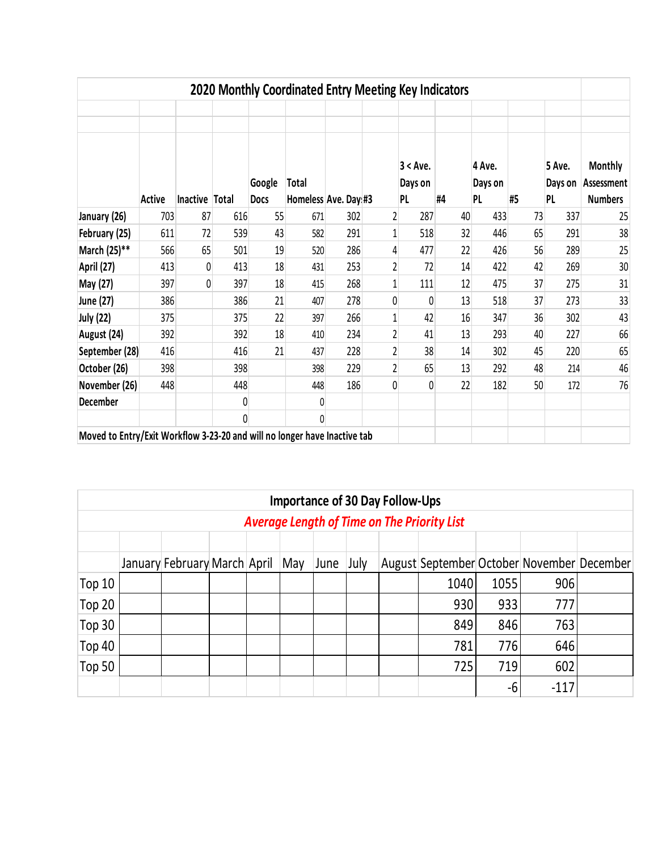|                                                                           |               |                |     |                       | 2020 Monthly Coordinated Entry Meeting Key Indicators |     |                |                                  |    |                                |    |                                |                                                |
|---------------------------------------------------------------------------|---------------|----------------|-----|-----------------------|-------------------------------------------------------|-----|----------------|----------------------------------|----|--------------------------------|----|--------------------------------|------------------------------------------------|
|                                                                           | <b>Active</b> | Inactive Total |     | Google<br><b>Docs</b> | <b>Total</b><br>Homeless Ave. Day #3                  |     |                | 3 < Ave.<br>Days on<br><b>PL</b> | #4 | 4 Ave.<br>Days on<br><b>PL</b> | #5 | 5 Ave.<br>Days on<br><b>PL</b> | <b>Monthly</b><br>Assessment<br><b>Numbers</b> |
| January (26)                                                              | 703           | 87             | 616 | 55                    | 671                                                   | 302 | 2              | 287                              | 40 | 433                            | 73 | 337                            | 25                                             |
| February (25)                                                             | 611           | 72             | 539 | 43                    | 582                                                   | 291 | 1              | 518                              | 32 | 446                            | 65 | 291                            | 38                                             |
| March (25)**                                                              | 566           | 65             | 501 | 19                    | 520                                                   | 286 | 4              | 477                              | 22 | 426                            | 56 | 289                            | 25                                             |
| April (27)                                                                | 413           | 0              | 413 | 18                    | 431                                                   | 253 | 2              | 72                               | 14 | 422                            | 42 | 269                            | 30                                             |
| May (27)                                                                  | 397           | 0              | 397 | 18                    | 415                                                   | 268 | 1              | 111                              | 12 | 475                            | 37 | 275                            | 31                                             |
| June (27)                                                                 | 386           |                | 386 | 21                    | 407                                                   | 278 | 0              | 0                                | 13 | 518                            | 37 | 273                            | 33                                             |
| <b>July (22)</b>                                                          | 375           |                | 375 | 22                    | 397                                                   | 266 | 1              | 42                               | 16 | 347                            | 36 | 302                            | 43                                             |
| August (24)                                                               | 392           |                | 392 | 18                    | 410                                                   | 234 | $\overline{2}$ | 41                               | 13 | 293                            | 40 | 227                            | 66                                             |
| September (28)                                                            | 416           |                | 416 | 21                    | 437                                                   | 228 | 2              | 38                               | 14 | 302                            | 45 | 220                            | 65                                             |
| October (26)                                                              | 398           |                | 398 |                       | 398                                                   | 229 | 2              | 65                               | 13 | 292                            | 48 | 214                            | 46                                             |
| November (26)                                                             | 448           |                | 448 |                       | 448                                                   | 186 | 0              | 0                                | 22 | 182                            | 50 | 172                            | 76                                             |
| <b>December</b>                                                           |               |                | 0   |                       | 0                                                     |     |                |                                  |    |                                |    |                                |                                                |
|                                                                           |               |                | 0   |                       | 0                                                     |     |                |                                  |    |                                |    |                                |                                                |
| Moved to Entry/Exit Workflow 3-23-20 and will no longer have Inactive tab |               |                |     |                       |                                                       |     |                |                                  |    |                                |    |                                |                                                |

| <b>Importance of 30 Day Follow-Ups</b>             |  |                                  |  |  |  |      |      |  |                                            |      |        |  |  |
|----------------------------------------------------|--|----------------------------------|--|--|--|------|------|--|--------------------------------------------|------|--------|--|--|
| <b>Average Length of Time on The Priority List</b> |  |                                  |  |  |  |      |      |  |                                            |      |        |  |  |
|                                                    |  |                                  |  |  |  |      |      |  |                                            |      |        |  |  |
|                                                    |  | January February March April May |  |  |  | June | July |  | August September October November December |      |        |  |  |
| Top 10                                             |  |                                  |  |  |  |      |      |  | 1040                                       | 1055 | 906    |  |  |
| Top 20                                             |  |                                  |  |  |  |      |      |  | 930                                        | 933  | 777    |  |  |
| Top 30                                             |  |                                  |  |  |  |      |      |  | 849                                        | 846  | 763    |  |  |
| Top 40                                             |  |                                  |  |  |  |      |      |  | 781                                        | 776  | 646    |  |  |
| Top 50                                             |  |                                  |  |  |  |      |      |  | 725                                        | 719  | 602    |  |  |
|                                                    |  |                                  |  |  |  |      |      |  |                                            | -6   | $-117$ |  |  |